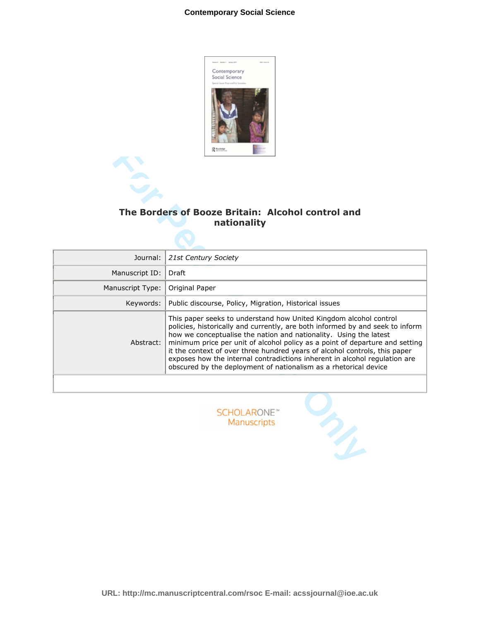## **Contemporary Social Science**



# **The Borders of Booze Britain: Alcohol control and nationality**

| R <i>tades</i><br>The Borders of Booze Britain: Alcohol control and<br>nationality |                                                                                                                                                                                                                                                                                                                                                                                                                                                                                                                                         |
|------------------------------------------------------------------------------------|-----------------------------------------------------------------------------------------------------------------------------------------------------------------------------------------------------------------------------------------------------------------------------------------------------------------------------------------------------------------------------------------------------------------------------------------------------------------------------------------------------------------------------------------|
| Journal:                                                                           | 21st Century Society                                                                                                                                                                                                                                                                                                                                                                                                                                                                                                                    |
| Manuscript ID:                                                                     | Draft                                                                                                                                                                                                                                                                                                                                                                                                                                                                                                                                   |
| Manuscript Type:                                                                   | Original Paper                                                                                                                                                                                                                                                                                                                                                                                                                                                                                                                          |
| Keywords:                                                                          | Public discourse, Policy, Migration, Historical issues                                                                                                                                                                                                                                                                                                                                                                                                                                                                                  |
| Abstract:                                                                          | This paper seeks to understand how United Kingdom alcohol control<br>policies, historically and currently, are both informed by and seek to inform<br>how we conceptualise the nation and nationality. Using the latest<br>minimum price per unit of alcohol policy as a point of departure and setting<br>it the context of over three hundred years of alcohol controls, this paper<br>exposes how the internal contradictions inherent in alcohol regulation are<br>obscured by the deployment of nationalism as a rhetorical device |
|                                                                                    |                                                                                                                                                                                                                                                                                                                                                                                                                                                                                                                                         |
|                                                                                    | <b>SCHOLARONE™</b><br>Manuscripts                                                                                                                                                                                                                                                                                                                                                                                                                                                                                                       |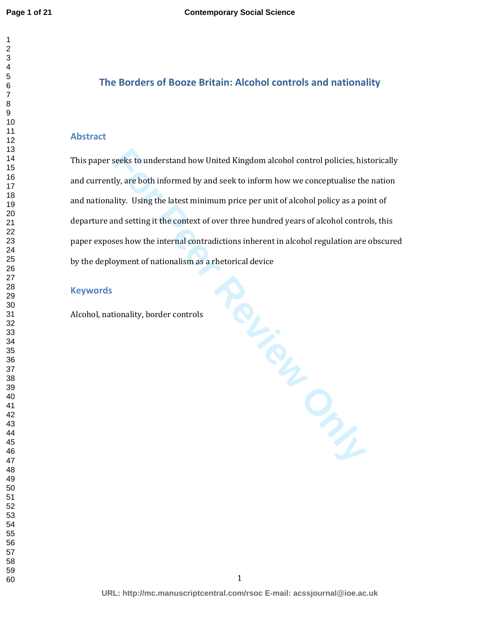## **The Borders of Booze Britain: Alcohol controls and nationality**

### **Abstract**

Fortradictive.<br>
Sm. as a rhetorical devis.<br>
Fortrols<br>
Forthe Conditions This paper seeks to understand how United Kingdom alcohol control policies, historically and currently, are both informed by and seek to inform how we conceptualise the nation and nationality. Using the latest minimum price per unit of alcohol policy as a point of departure and setting it the context of over three hundred years of alcohol controls, this paper exposes how the internal contradictions inherent in alcohol regulation are obscured by the deployment of nationalism as a rhetorical device

## **Keywords**

Alcohol, nationality, border controls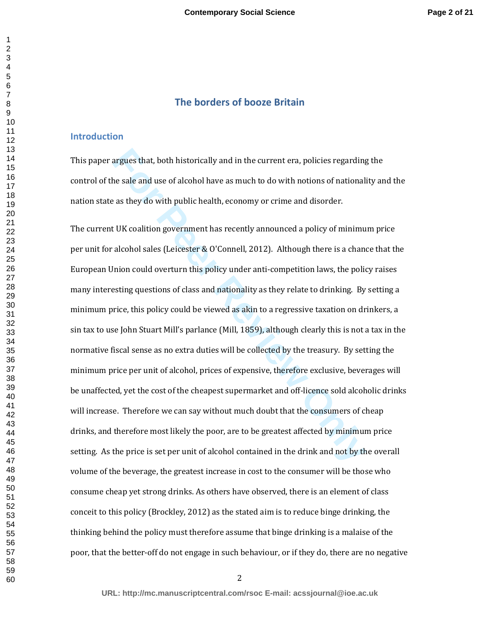## **The borders of booze Britain**

#### **Introduction**

This paper argues that, both historically and in the current era, policies regarding the control of the sale and use of alcohol have as much to do with notions of nationality and the nation state as they do with public health, economy or crime and disorder.

argues that, both historically and in the current era, policies regarding<br>the sale and use of alcohol have as much to do with notions of national<br>as they do with public health, economy or crime and disorder.<br>**FUK** coalitio The current UK coalition government has recently announced a policy of minimum price per unit for alcohol sales (Leicester & O'Connell, 2012). Although there is a chance that the European Union could overturn this policy under anti-competition laws, the policy raises many interesting questions of class and nationality as they relate to drinking. By setting a minimum price, this policy could be viewed as akin to a regressive taxation on drinkers, a sin tax to use John Stuart Mill's parlance (Mill, 1859), although clearly this is not a tax in the normative fiscal sense as no extra duties will be collected by the treasury. By setting the minimum price per unit of alcohol, prices of expensive, therefore exclusive, beverages will be unaffected, yet the cost of the cheapest supermarket and off-licence sold alcoholic drinks will increase. Therefore we can say without much doubt that the consumers of cheap drinks, and therefore most likely the poor, are to be greatest affected by minimum price setting. As the price is set per unit of alcohol contained in the drink and not by the overall volume of the beverage, the greatest increase in cost to the consumer will be those who consume cheap yet strong drinks. As others have observed, there is an element of class conceit to this policy (Brockley, 2012) as the stated aim is to reduce binge drinking, the thinking behind the policy must therefore assume that binge drinking is a malaise of the poor, that the better-off do not engage in such behaviour, or if they do, there are no negative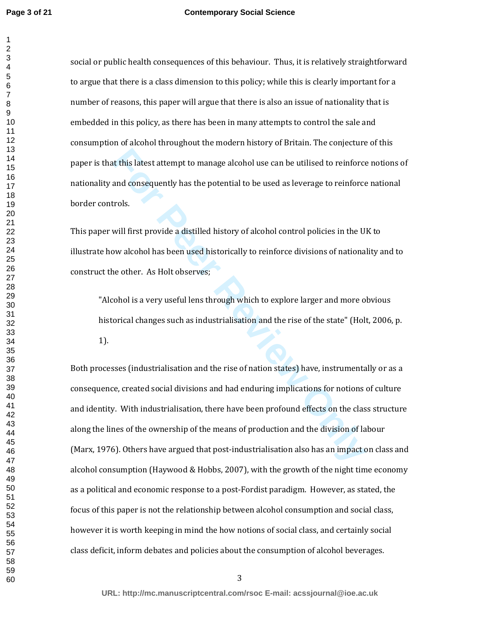social or public health consequences of this behaviour. Thus, it is relatively straightforward to argue that there is a class dimension to this policy; while this is clearly important for a number of reasons, this paper will argue that there is also an issue of nationality that is embedded in this policy, as there has been in many attempts to control the sale and consumption of alcohol throughout the modern history of Britain. The conjecture of this paper is that this latest attempt to manage alcohol use can be utilised to reinforce notions of nationality and consequently has the potential to be used as leverage to reinforce national border controls.

This paper will first provide a distilled history of alcohol control policies in the UK to illustrate how alcohol has been used historically to reinforce divisions of nationality and to construct the other. As Holt observes;

"Alcohol is a very useful lens through which to explore larger and more obvious historical changes such as industrialisation and the rise of the state" (Holt, 2006, p. 1).

It this latest attempt to manage alcohol use can be utilised to reinforce<br>and consequently has the potential to be used as leverage to reinforce<br>trols.<br>Will first provide a distilled history of alcohol control policies in Both processes (industrialisation and the rise of nation states) have, instrumentally or as a consequence, created social divisions and had enduring implications for notions of culture and identity. With industrialisation, there have been profound effects on the class structure along the lines of the ownership of the means of production and the division of labour (Marx, 1976). Others have argued that post-industrialisation also has an impact on class and alcohol consumption (Haywood & Hobbs, 2007), with the growth of the night time economy as a political and economic response to a post-Fordist paradigm. However, as stated, the focus of this paper is not the relationship between alcohol consumption and social class, however it is worth keeping in mind the how notions of social class, and certainly social class deficit, inform debates and policies about the consumption of alcohol beverages.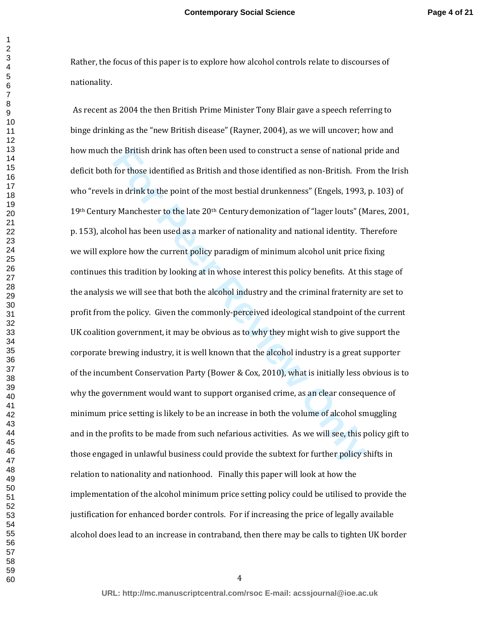Rather, the focus of this paper is to explore how alcohol controls relate to discourses of nationality.

the British drink has often been used to construct a sense of national prothers in the British and those identified as non-British. From in drink to the point of the most bestial drunkenness" (Engels, 1993, y Manchester to As recent as 2004 the then British Prime Minister Tony Blair gave a speech referring to binge drinking as the "new British disease" (Rayner, 2004), as we will uncover; how and how much the British drink has often been used to construct a sense of national pride and deficit both for those identified as British and those identified as non-British. From the Irish who "revels in drink to the point of the most bestial drunkenness" (Engels, 1993, p. 103) of 19<sup>th</sup> Century Manchester to the late  $20<sup>th</sup>$  Century demonization of "lager louts" (Mares, 2001, p. 153), alcohol has been used as a marker of nationality and national identity. Therefore we will explore how the current policy paradigm of minimum alcohol unit price fixing continues this tradition by looking at in whose interest this policy benefits. At this stage of the analysis we will see that both the alcohol industry and the criminal fraternity are set to profit from the policy. Given the commonly-perceived ideological standpoint of the current UK coalition government, it may be obvious as to why they might wish to give support the corporate brewing industry, it is well known that the alcohol industry is a great supporter of the incumbent Conservation Party (Bower & Cox, 2010), what is initially less obvious is to why the government would want to support organised crime, as an clear consequence of minimum price setting is likely to be an increase in both the volume of alcohol smuggling and in the profits to be made from such nefarious activities. As we will see, this policy gift to those engaged in unlawful business could provide the subtext for further policy shifts in relation to nationality and nationhood. Finally this paper will look at how the implementation of the alcohol minimum price setting policy could be utilised to provide the justification for enhanced border controls. For if increasing the price of legally available alcohol does lead to an increase in contraband, then there may be calls to tighten UK border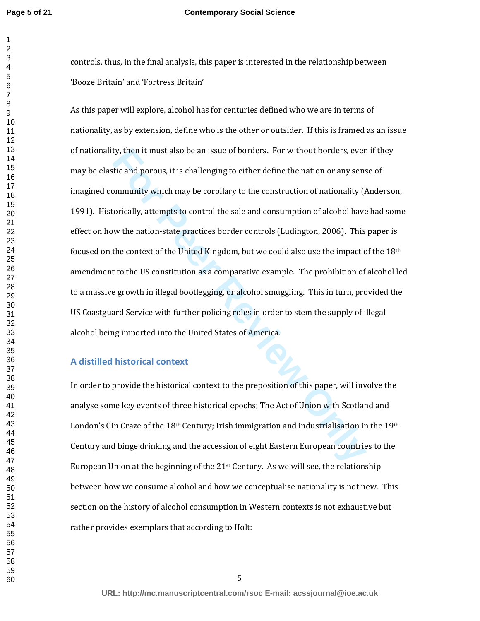#### **Contemporary Social Science**

controls, thus, in the final analysis, this paper is interested in the relationship between 'Booze Britain' and 'Fortress Britain'

ty, then it must also be an issue of borders. For without borders, ever<br>tic and porous, it is challenging to either define the nation or any sens<br>mmunity which may be corollary to the construction of nationality (*i*<br>orica As this paper will explore, alcohol has for centuries defined who we are in terms of nationality, as by extension, define who is the other or outsider. If this is framed as an issue of nationality, then it must also be an issue of borders. For without borders, even if they may be elastic and porous, it is challenging to either define the nation or any sense of imagined community which may be corollary to the construction of nationality (Anderson, 1991). Historically, attempts to control the sale and consumption of alcohol have had some effect on how the nation-state practices border controls (Ludington, 2006). This paper is focused on the context of the United Kingdom, but we could also use the impact of the  $18<sup>th</sup>$ amendment to the US constitution as a comparative example. The prohibition of alcohol led to a massive growth in illegal bootlegging, or alcohol smuggling. This in turn, provided the US Coastguard Service with further policing roles in order to stem the supply of illegal alcohol being imported into the United States of America.

## **A distilled historical context**

In order to provide the historical context to the preposition of this paper, will involve the analyse some key events of three historical epochs; The Act of Union with Scotland and London's Gin Craze of the 18<sup>th</sup> Century; Irish immigration and industrialisation in the 19<sup>th</sup> Century and binge drinking and the accession of eight Eastern European countries to the European Union at the beginning of the  $21<sup>st</sup>$  Century. As we will see, the relationship between how we consume alcohol and how we conceptualise nationality is not new. This section on the history of alcohol consumption in Western contexts is not exhaustive but rather provides exemplars that according to Holt: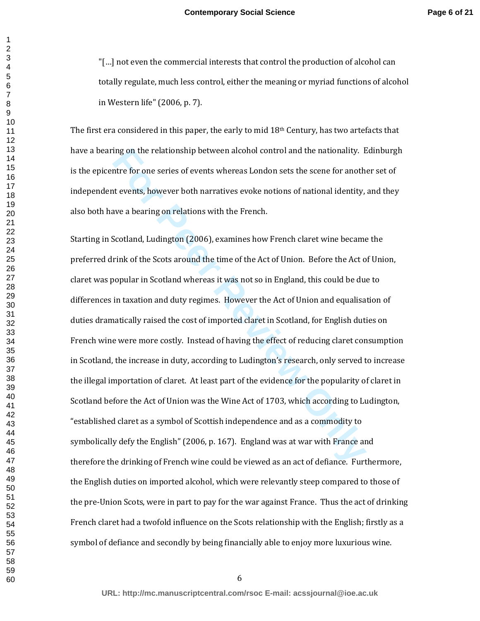"[…] not even the commercial interests that control the production of alcohol can totally regulate, much less control, either the meaning or myriad functions of alcohol in Western life" (2006, p. 7).

The first era considered in this paper, the early to mid  $18<sup>th</sup>$  Century, has two artefacts that have a bearing on the relationship between alcohol control and the nationality. Edinburgh is the epicentre for one series of events whereas London sets the scene for another set of independent events, however both narratives evoke notions of national identity, and they also both have a bearing on relations with the French.

ing on the relationship between alcohol control and the nationality. Entre for one series of events whereas London sets the scene for anoth the events, however both narratives evoke notions of national identity, we a beari Starting in Scotland, Ludington (2006), examines how French claret wine became the preferred drink of the Scots around the time of the Act of Union. Before the Act of Union, claret was popular in Scotland whereas it was not so in England, this could be due to differences in taxation and duty regimes. However the Act of Union and equalisation of duties dramatically raised the cost of imported claret in Scotland, for English duties on French wine were more costly. Instead of having the effect of reducing claret consumption in Scotland, the increase in duty, according to Ludington's research, only served to increase the illegal importation of claret. At least part of the evidence for the popularity of claret in Scotland before the Act of Union was the Wine Act of 1703, which according to Ludington, "established claret as a symbol of Scottish independence and as a commodity to symbolically defy the English" (2006, p. 167). England was at war with France and therefore the drinking of French wine could be viewed as an act of defiance. Furthermore, the English duties on imported alcohol, which were relevantly steep compared to those of the pre-Union Scots, were in part to pay for the war against France. Thus the act of drinking French claret had a twofold influence on the Scots relationship with the English; firstly as a symbol of defiance and secondly by being financially able to enjoy more luxurious wine.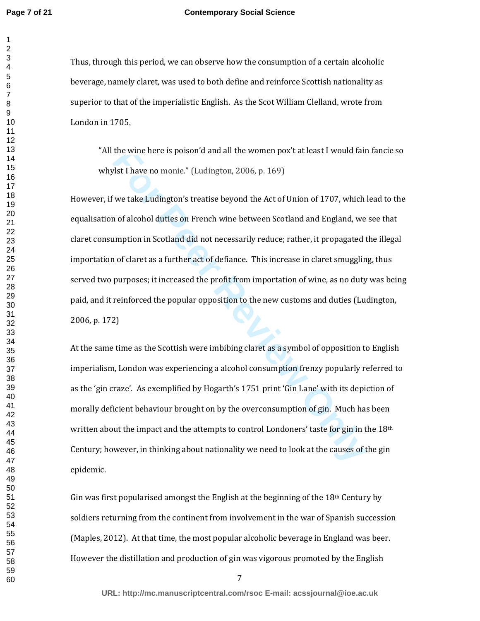#### **Contemporary Social Science**

Thus, through this period, we can observe how the consumption of a certain alcoholic beverage, namely claret, was used to both define and reinforce Scottish nationality as superior to that of the imperialistic English. As the Scot William Clelland, wrote from London in 1705,

"All the wine here is poison'd and all the women pox't at least I would fain fancie so whylst I have no monie." (Ludington, 2006, p. 169)

the wine here is poison'd and all the women pox't at least I would fain<br>
Alst I have no monie." (Ludington, 2006, p. 169)<br>
ive take Ludington's treatise beyond the Act of Union of 1707, which<br>
n of alcohol duties on French However, if we take Ludington's treatise beyond the Act of Union of 1707, which lead to the equalisation of alcohol duties on French wine between Scotland and England, we see that claret consumption in Scotland did not necessarily reduce; rather, it propagated the illegal importation of claret as a further act of defiance. This increase in claret smuggling, thus served two purposes; it increased the profit from importation of wine, as no duty was being paid, and it reinforced the popular opposition to the new customs and duties (Ludington, 2006, p. 172)

At the same time as the Scottish were imbibing claret as a symbol of opposition to English imperialism, London was experiencing a alcohol consumption frenzy popularly referred to as the 'gin craze'. As exemplified by Hogarth's 1751 print 'Gin Lane' with its depiction of morally deficient behaviour brought on by the overconsumption of gin. Much has been written about the impact and the attempts to control Londoners' taste for gin in the  $18<sup>th</sup>$ Century; however, in thinking about nationality we need to look at the causes of the gin epidemic.

Gin was first popularised amongst the English at the beginning of the 18th Century by soldiers returning from the continent from involvement in the war of Spanish succession (Maples, 2012). At that time, the most popular alcoholic beverage in England was beer. However the distillation and production of gin was vigorous promoted by the English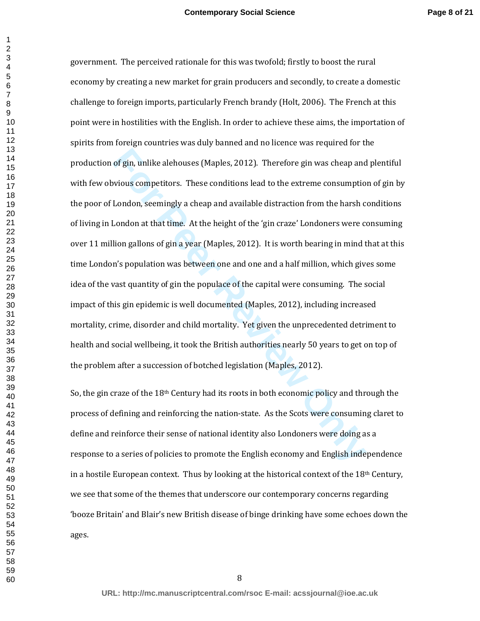of gin, unlike alehouses (Maples, 2012). Therefore gin was cheap and<br>vious competitors. These conditions lead to the extreme consumptio<br>London, seemingly a cheap and available distraction from the harsh c<br>London at that ti government. The perceived rationale for this was twofold; firstly to boost the rural economy by creating a new market for grain producers and secondly, to create a domestic challenge to foreign imports, particularly French brandy (Holt, 2006). The French at this point were in hostilities with the English. In order to achieve these aims, the importation of spirits from foreign countries was duly banned and no licence was required for the production of gin, unlike alehouses (Maples, 2012). Therefore gin was cheap and plentiful with few obvious competitors. These conditions lead to the extreme consumption of gin by the poor of London, seemingly a cheap and available distraction from the harsh conditions of living in London at that time. At the height of the 'gin craze' Londoners were consuming over 11 million gallons of gin a year (Maples, 2012). It is worth bearing in mind that at this time London's population was between one and one and a half million, which gives some idea of the vast quantity of gin the populace of the capital were consuming. The social impact of this gin epidemic is well documented (Maples, 2012), including increased mortality, crime, disorder and child mortality. Yet given the unprecedented detriment to health and social wellbeing, it took the British authorities nearly 50 years to get on top of the problem after a succession of botched legislation (Maples, 2012).

So, the gin craze of the  $18<sup>th</sup>$  Century had its roots in both economic policy and through the process of defining and reinforcing the nation-state. As the Scots were consuming claret to define and reinforce their sense of national identity also Londoners were doing as a response to a series of policies to promote the English economy and English independence in a hostile European context. Thus by looking at the historical context of the  $18<sup>th</sup>$  Century, we see that some of the themes that underscore our contemporary concerns regarding 'booze Britain' and Blair's new British disease of binge drinking have some echoes down the ages.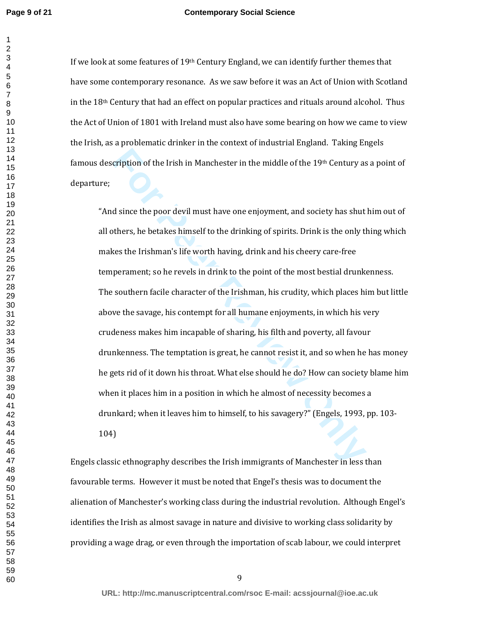#### **Contemporary Social Science**

If we look at some features of  $19<sup>th</sup>$  Century England, we can identify further themes that have some contemporary resonance. As we saw before it was an Act of Union with Scotland in the 18th Century that had an effect on popular practices and rituals around alcohol. Thus the Act of Union of 1801 with Ireland must also have some bearing on how we came to view the Irish, as a problematic drinker in the context of industrial England. Taking Engels famous description of the Irish in Manchester in the middle of the 19<sup>th</sup> Century as a point of departure;

eription of the Irish in Manchester in the middle of the 19<sup>th</sup> Century as<br>d since the poor devil must have one enjoyment, and society has shut<br>thers, he betakes himself to the drinking of spirits. Drink is the only tl<br>res "And since the poor devil must have one enjoyment, and society has shut him out of all others, he betakes himself to the drinking of spirits. Drink is the only thing which makes the Irishman's life worth having, drink and his cheery care-free temperament; so he revels in drink to the point of the most bestial drunkenness. The southern facile character of the Irishman, his crudity, which places him but little above the savage, his contempt for all humane enjoyments, in which his very crudeness makes him incapable of sharing, his filth and poverty, all favour drunkenness. The temptation is great, he cannot resist it, and so when he has money he gets rid of it down his throat. What else should he do? How can society blame him when it places him in a position in which he almost of necessity becomes a drunkard; when it leaves him to himself, to his savagery?" (Engels, 1993, pp. 103- 104)

Engels classic ethnography describes the Irish immigrants of Manchester in less than favourable terms. However it must be noted that Engel's thesis was to document the alienation of Manchester's working class during the industrial revolution. Although Engel's identifies the Irish as almost savage in nature and divisive to working class solidarity by providing a wage drag, or even through the importation of scab labour, we could interpret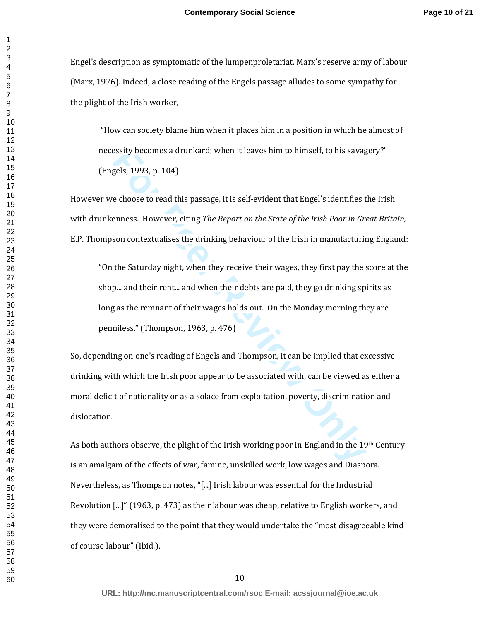Engel's description as symptomatic of the lumpenproletariat, Marx's reserve army of labour (Marx, 1976). Indeed, a close reading of the Engels passage alludes to some sympathy for the plight of the Irish worker,

 "How can society blame him when it places him in a position in which he almost of necessity becomes a drunkard; when it leaves him to himself, to his savagery?" (Engels, 1993, p. 104)

However we choose to read this passage, it is self-evident that Engel's identifies the Irish with drunkenness. However, citing *The Report on the State of the Irish Poor in Great Britain,*  E.P. Thompson contextualises the drinking behaviour of the Irish in manufacturing England:

"On the Saturday night, when they receive their wages, they first pay the score at the shop... and their rent... and when their debts are paid, they go drinking spirits as long as the remnant of their wages holds out. On the Monday morning they are penniless." (Thompson, 1963, p. 476)

essity becomes a drunkard; when it leaves him to himself, to his savagels, 1993, p. 104)<br>e choose to read this passage, it is self-evident that Engel's identifies t<br>enness. However, citing *The Report on the State of the I* So, depending on one's reading of Engels and Thompson, it can be implied that excessive drinking with which the Irish poor appear to be associated with, can be viewed as either a moral deficit of nationality or as a solace from exploitation, poverty, discrimination and dislocation.

As both authors observe, the plight of the Irish working poor in England in the 19th Century is an amalgam of the effects of war, famine, unskilled work, low wages and Diaspora. Nevertheless, as Thompson notes, "[...] Irish labour was essential for the Industrial Revolution [...]" (1963, p. 473) as their labour was cheap, relative to English workers, and they were demoralised to the point that they would undertake the "most disagreeable kind of course labour" (Ibid.).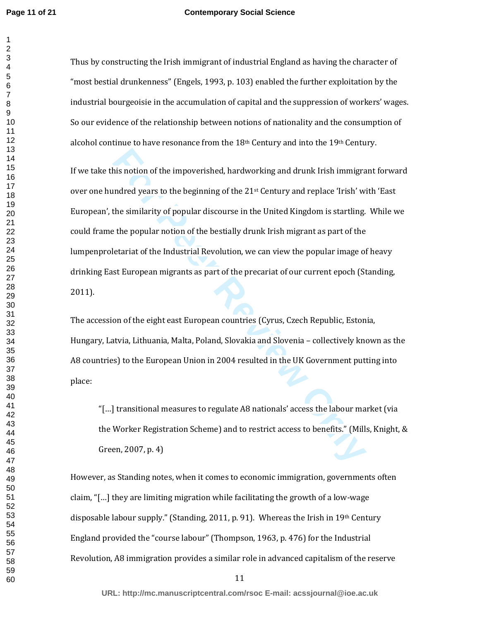#### **Contemporary Social Science**

Thus by constructing the Irish immigrant of industrial England as having the character of "most bestial drunkenness" (Engels, 1993, p. 103) enabled the further exploitation by the industrial bourgeoisie in the accumulation of capital and the suppression of workers' wages. So our evidence of the relationship between notions of nationality and the consumption of alcohol continue to have resonance from the  $18<sup>th</sup>$  Century and into the 19<sup>th</sup> Century.

his notion of the impoverished, hardworking and drunk Irish immigrand<br>red years to the beginning of the 21<sup>st</sup> Century and replace 'Irish' w.<br>the similarity of popular discourse in the United Kingdom is startling.<br>the popu If we take this notion of the impoverished, hardworking and drunk Irish immigrant forward over one hundred years to the beginning of the 21st Century and replace 'Irish' with 'East European', the similarity of popular discourse in the United Kingdom is startling. While we could frame the popular notion of the bestially drunk Irish migrant as part of the lumpenproletariat of the Industrial Revolution, we can view the popular image of heavy drinking East European migrants as part of the precariat of our current epoch (Standing, 2011).

The accession of the eight east European countries (Cyrus, Czech Republic, Estonia, Hungary, Latvia, Lithuania, Malta, Poland, Slovakia and Slovenia – collectively known as the A8 countries) to the European Union in 2004 resulted in the UK Government putting into place:

"[…] transitional measures to regulate A8 nationals' access the labour market (via the Worker Registration Scheme) and to restrict access to benefits." (Mills, Knight, & Green, 2007, p. 4)

However, as Standing notes, when it comes to economic immigration, governments often claim, "[…] they are limiting migration while facilitating the growth of a low-wage disposable labour supply." (Standing, 2011, p. 91). Whereas the Irish in 19th Century England provided the "course labour" (Thompson, 1963, p. 476) for the Industrial Revolution, A8 immigration provides a similar role in advanced capitalism of the reserve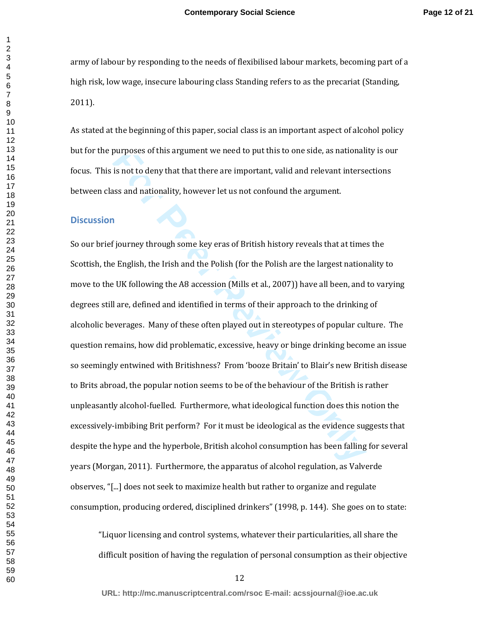army of labour by responding to the needs of flexibilised labour markets, becoming part of a high risk, low wage, insecure labouring class Standing refers to as the precariat (Standing, 2011).

As stated at the beginning of this paper, social class is an important aspect of alcohol policy but for the purposes of this argument we need to put this to one side, as nationality is our focus. This is not to deny that that there are important, valid and relevant intersections between class and nationality, however let us not confound the argument.

## **Discussion**

purposes of this argument we need to put this to one side, as national<br>is not to deny that that there are important, valid and relevant interse<br>sss and nationality, however let us not confound the argument.<br><br>**Fourney throu** So our brief journey through some key eras of British history reveals that at times the Scottish, the English, the Irish and the Polish (for the Polish are the largest nationality to move to the UK following the A8 accession (Mills et al., 2007)) have all been, and to varying degrees still are, defined and identified in terms of their approach to the drinking of alcoholic beverages. Many of these often played out in stereotypes of popular culture. The question remains, how did problematic, excessive, heavy or binge drinking become an issue so seemingly entwined with Britishness? From 'booze Britain' to Blair's new British disease to Brits abroad, the popular notion seems to be of the behaviour of the British is rather unpleasantly alcohol-fuelled. Furthermore, what ideological function does this notion the excessively-imbibing Brit perform? For it must be ideological as the evidence suggests that despite the hype and the hyperbole, British alcohol consumption has been falling for several years (Morgan, 2011). Furthermore, the apparatus of alcohol regulation, as Valverde observes, "[...] does not seek to maximize health but rather to organize and regulate consumption, producing ordered, disciplined drinkers" (1998, p. 144). She goes on to state:

"Liquor licensing and control systems, whatever their particularities, all share the difficult position of having the regulation of personal consumption as their objective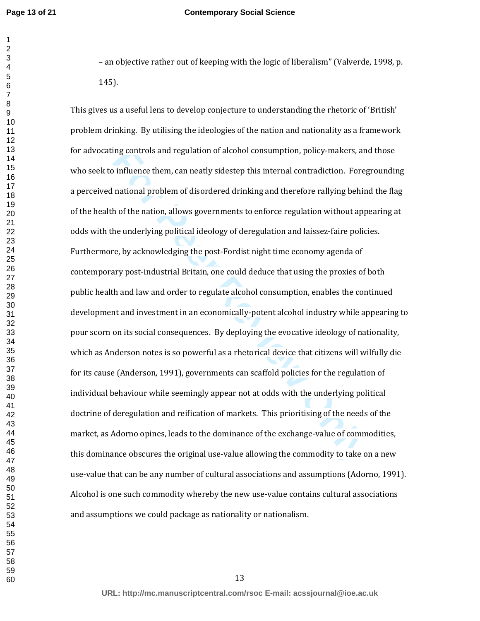– an objective rather out of keeping with the logic of liberalism" (Valverde, 1998, p. 145).

ing controls and regulation of alcohol consumption, policy-makers, an influence them, can neatly sidestep this internal contradiction. Fore, national problem of disordered drinking and therefore rallying behir h of the nat This gives us a useful lens to develop conjecture to understanding the rhetoric of 'British' problem drinking. By utilising the ideologies of the nation and nationality as a framework for advocating controls and regulation of alcohol consumption, policy-makers, and those who seek to influence them, can neatly sidestep this internal contradiction. Foregrounding a perceived national problem of disordered drinking and therefore rallying behind the flag of the health of the nation, allows governments to enforce regulation without appearing at odds with the underlying political ideology of deregulation and laissez-faire policies. Furthermore, by acknowledging the post-Fordist night time economy agenda of contemporary post-industrial Britain, one could deduce that using the proxies of both public health and law and order to regulate alcohol consumption, enables the continued development and investment in an economically-potent alcohol industry while appearing to pour scorn on its social consequences. By deploying the evocative ideology of nationality, which as Anderson notes is so powerful as a rhetorical device that citizens will wilfully die for its cause (Anderson, 1991), governments can scaffold policies for the regulation of individual behaviour while seemingly appear not at odds with the underlying political doctrine of deregulation and reification of markets. This prioritising of the needs of the market, as Adorno opines, leads to the dominance of the exchange-value of commodities, this dominance obscures the original use-value allowing the commodity to take on a new use-value that can be any number of cultural associations and assumptions (Adorno, 1991). Alcohol is one such commodity whereby the new use-value contains cultural associations and assumptions we could package as nationality or nationalism.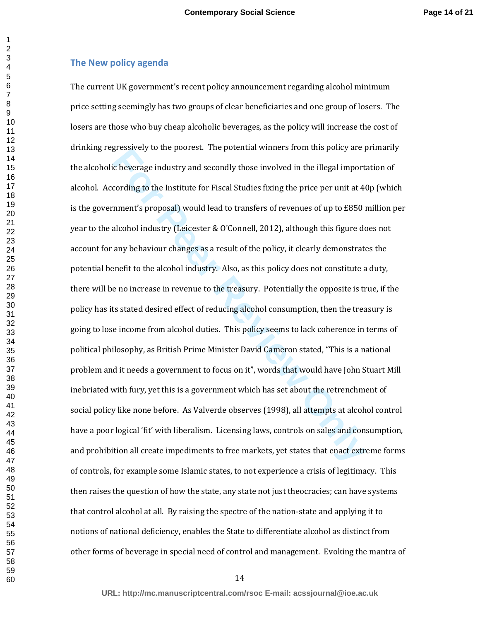## **The New policy agenda**

resistery to the poolest. The potential whileers from this policy are protecting to the Institute for Fiscal Studies fixing the price per unit at 44 mment's proposal) would lead to transfers of revenues of up to £850 match The current UK government's recent policy announcement regarding alcohol minimum price setting seemingly has two groups of clear beneficiaries and one group of losers. The losers are those who buy cheap alcoholic beverages, as the policy will increase the cost of drinking regressively to the poorest. The potential winners from this policy are primarily the alcoholic beverage industry and secondly those involved in the illegal importation of alcohol. According to the Institute for Fiscal Studies fixing the price per unit at 40p (which is the government's proposal) would lead to transfers of revenues of up to £850 million per year to the alcohol industry (Leicester & O'Connell, 2012), although this figure does not account for any behaviour changes as a result of the policy, it clearly demonstrates the potential benefit to the alcohol industry. Also, as this policy does not constitute a duty, there will be no increase in revenue to the treasury. Potentially the opposite is true, if the policy has its stated desired effect of reducing alcohol consumption, then the treasury is going to lose income from alcohol duties. This policy seems to lack coherence in terms of political philosophy, as British Prime Minister David Cameron stated, "This is a national problem and it needs a government to focus on it", words that would have John Stuart Mill inebriated with fury, yet this is a government which has set about the retrenchment of social policy like none before. As Valverde observes (1998), all attempts at alcohol control have a poor logical 'fit' with liberalism. Licensing laws, controls on sales and consumption, and prohibition all create impediments to free markets, yet states that enact extreme forms of controls, for example some Islamic states, to not experience a crisis of legitimacy. This then raises the question of how the state, any state not just theocracies; can have systems that control alcohol at all. By raising the spectre of the nation-state and applying it to notions of national deficiency, enables the State to differentiate alcohol as distinct from other forms of beverage in special need of control and management. Evoking the mantra of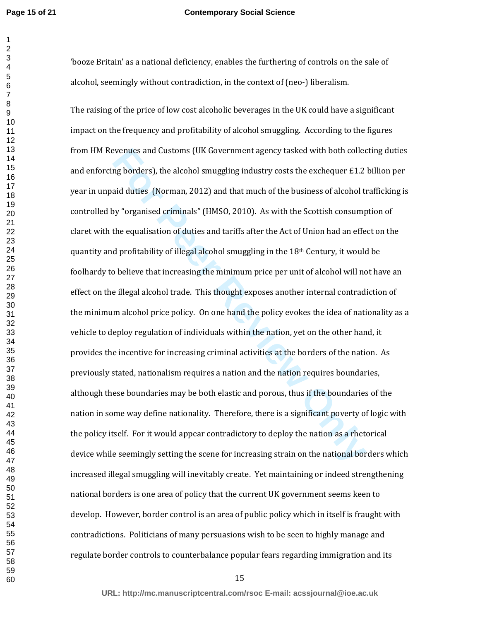#### **Contemporary Social Science**

'booze Britain' as a national deficiency, enables the furthering of controls on the sale of alcohol, seemingly without contradiction, in the context of (neo-) liberalism.

ivenues and Customs (UK Government agency tasked with both colled<br>time porders), the alcohol smuggling industry costs the exchequer £1.2<br>aid duties (Norman, 2012) and that much of the business of alcohol ti<br>y "organised cr The raising of the price of low cost alcoholic beverages in the UK could have a significant impact on the frequency and profitability of alcohol smuggling. According to the figures from HM Revenues and Customs (UK Government agency tasked with both collecting duties and enforcing borders), the alcohol smuggling industry costs the exchequer £1.2 billion per year in unpaid duties (Norman, 2012) and that much of the business of alcohol trafficking is controlled by "organised criminals" (HMSO, 2010). As with the Scottish consumption of claret with the equalisation of duties and tariffs after the Act of Union had an effect on the quantity and profitability of illegal alcohol smuggling in the 18th Century, it would be foolhardy to believe that increasing the minimum price per unit of alcohol will not have an effect on the illegal alcohol trade. This thought exposes another internal contradiction of the minimum alcohol price policy. On one hand the policy evokes the idea of nationality as a vehicle to deploy regulation of individuals within the nation, yet on the other hand, it provides the incentive for increasing criminal activities at the borders of the nation. As previously stated, nationalism requires a nation and the nation requires boundaries, although these boundaries may be both elastic and porous, thus if the boundaries of the nation in some way define nationality. Therefore, there is a significant poverty of logic with the policy itself. For it would appear contradictory to deploy the nation as a rhetorical device while seemingly setting the scene for increasing strain on the national borders which increased illegal smuggling will inevitably create. Yet maintaining or indeed strengthening national borders is one area of policy that the current UK government seems keen to develop. However, border control is an area of public policy which in itself is fraught with contradictions. Politicians of many persuasions wish to be seen to highly manage and regulate border controls to counterbalance popular fears regarding immigration and its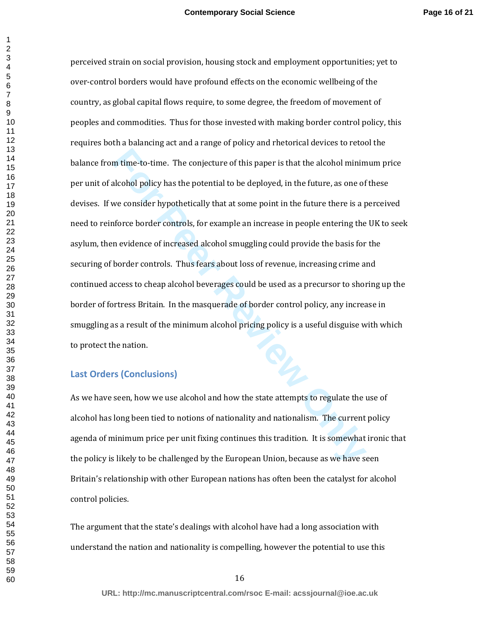m time-to-time. The conjecture of this paper is that the alcohol minin<br>alcohol policy has the potential to be deployed, in the future, as one of<br>we consider hypothetically that at some point in the future there is a p<br>forc perceived strain on social provision, housing stock and employment opportunities; yet to over-control borders would have profound effects on the economic wellbeing of the country, as global capital flows require, to some degree, the freedom of movement of peoples and commodities. Thus for those invested with making border control policy, this requires both a balancing act and a range of policy and rhetorical devices to retool the balance from time-to-time. The conjecture of this paper is that the alcohol minimum price per unit of alcohol policy has the potential to be deployed, in the future, as one of these devises. If we consider hypothetically that at some point in the future there is a perceived need to reinforce border controls, for example an increase in people entering the UK to seek asylum, then evidence of increased alcohol smuggling could provide the basis for the securing of border controls. Thus fears about loss of revenue, increasing crime and continued access to cheap alcohol beverages could be used as a precursor to shoring up the border of fortress Britain. In the masquerade of border control policy, any increase in smuggling as a result of the minimum alcohol pricing policy is a useful disguise with which to protect the nation.

## **Last Orders (Conclusions)**

As we have seen, how we use alcohol and how the state attempts to regulate the use of alcohol has long been tied to notions of nationality and nationalism. The current policy agenda of minimum price per unit fixing continues this tradition. It is somewhat ironic that the policy is likely to be challenged by the European Union, because as we have seen Britain's relationship with other European nations has often been the catalyst for alcohol control policies.

The argument that the state's dealings with alcohol have had a long association with understand the nation and nationality is compelling, however the potential to use this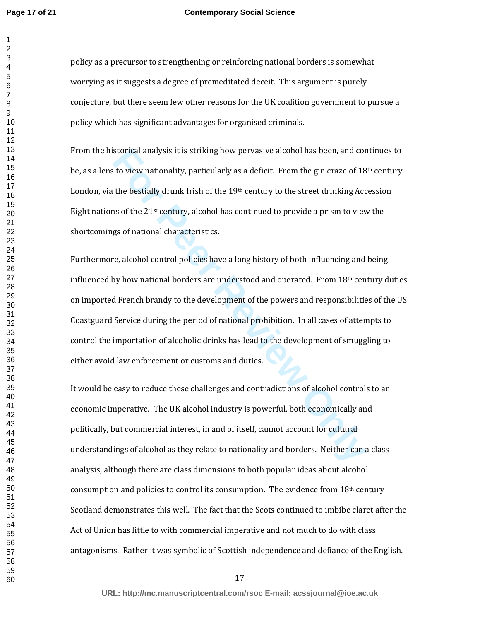#### **Contemporary Social Science**

policy as a precursor to strengthening or reinforcing national borders is somewhat worrying as it suggests a degree of premeditated deceit. This argument is purely conjecture, but there seem few other reasons for the UK coalition government to pursue a policy which has significant advantages for organised criminals.

From the historical analysis it is striking how pervasive alcohol has been, and continues to be, as a lens to view nationality, particularly as a deficit. From the gin craze of  $18<sup>th</sup>$  century London, via the bestially drunk Irish of the  $19<sup>th</sup>$  century to the street drinking Accession Eight nations of the  $21^{st}$  century, alcohol has continued to provide a prism to view the shortcomings of national characteristics.

istorical analysis it is striking how pervasive alcohol has been, and cor<br>to view nationality, particularly as a deficit. From the gin craze of 18<br>the bestially drunk Irish of the 19<sup>th</sup> century to the street drinking Acc<br> Furthermore, alcohol control policies have a long history of both influencing and being influenced by how national borders are understood and operated. From  $18<sup>th</sup>$  century duties on imported French brandy to the development of the powers and responsibilities of the US Coastguard Service during the period of national prohibition. In all cases of attempts to control the importation of alcoholic drinks has lead to the development of smuggling to either avoid law enforcement or customs and duties.

It would be easy to reduce these challenges and contradictions of alcohol controls to an economic imperative. The UK alcohol industry is powerful, both economically and politically, but commercial interest, in and of itself, cannot account for cultural understandings of alcohol as they relate to nationality and borders. Neither can a class analysis, although there are class dimensions to both popular ideas about alcohol consumption and policies to control its consumption. The evidence from  $18<sup>th</sup>$  century Scotland demonstrates this well. The fact that the Scots continued to imbibe claret after the Act of Union has little to with commercial imperative and not much to do with class antagonisms. Rather it was symbolic of Scottish independence and defiance of the English.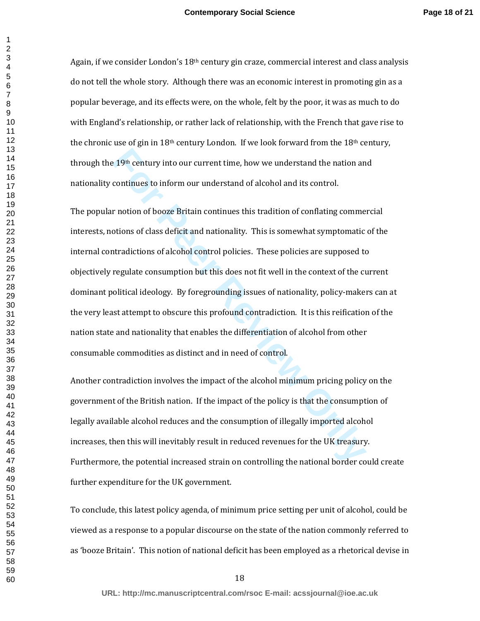Again, if we consider London's  $18<sup>th</sup>$  century gin craze, commercial interest and class analysis do not tell the whole story. Although there was an economic interest in promoting gin as a popular beverage, and its effects were, on the whole, felt by the poor, it was as much to do with England's relationship, or rather lack of relationship, with the French that gave rise to the chronic use of gin in 18<sup>th</sup> century London. If we look forward from the 18<sup>th</sup> century, through the 19th century into our current time, how we understand the nation and nationality continues to inform our understand of alcohol and its control.

<sup>19th</sup> century into our current time, how we understand the nation an continues to inform our understand of alcohol and its control.<br> **Follow** rotion of booze Britain continues this tradition of conflating comme<br>
otions of The popular notion of booze Britain continues this tradition of conflating commercial interests, notions of class deficit and nationality. This is somewhat symptomatic of the internal contradictions of alcohol control policies. These policies are supposed to objectively regulate consumption but this does not fit well in the context of the current dominant political ideology. By foregrounding issues of nationality, policy-makers can at the very least attempt to obscure this profound contradiction. It is this reification of the nation state and nationality that enables the differentiation of alcohol from other consumable commodities as distinct and in need of control.

Another contradiction involves the impact of the alcohol minimum pricing policy on the government of the British nation. If the impact of the policy is that the consumption of legally available alcohol reduces and the consumption of illegally imported alcohol increases, then this will inevitably result in reduced revenues for the UK treasury. Furthermore, the potential increased strain on controlling the national border could create further expenditure for the UK government.

To conclude, this latest policy agenda, of minimum price setting per unit of alcohol, could be viewed as a response to a popular discourse on the state of the nation commonly referred to as 'booze Britain'. This notion of national deficit has been employed as a rhetorical devise in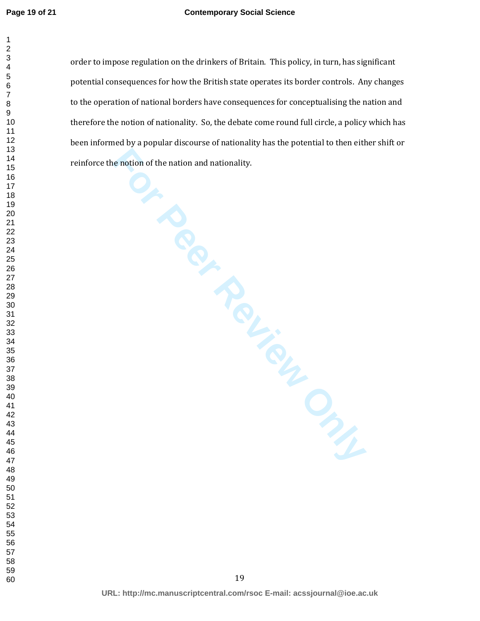#### **Contemporary Social Science**

order to impose regulation on the drinkers of Britain. This policy, in turn, has significant potential consequences for how the British state operates its border controls. Any changes to the operation of national borders have consequences for conceptualising the nation and therefore the notion of nationality. So, the debate come round full circle, a policy which has been informed by a popular discourse of nationality has the potential to then either shift or reinforce the notion of the nation and nationality.

**For Perform of the nation and nationality.**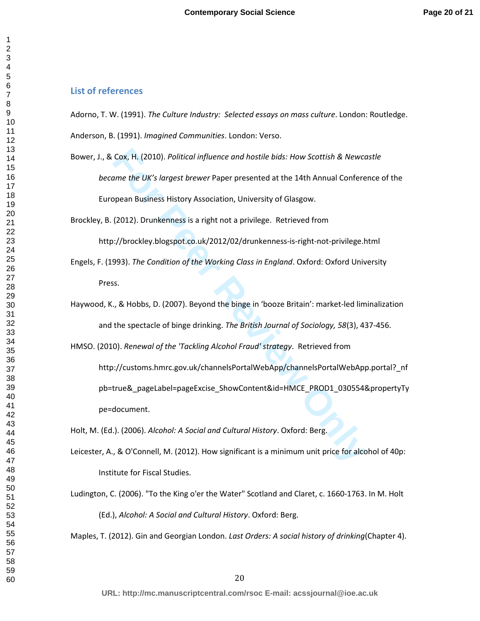### **List of references**

#### Adorno, T. W. (1991). *The Culture Industry: Selected essays on mass culture*. London: Routledge.

Anderson, B. (1991). *Imagined Communities*. London: Verso.

Bower, J., & Cox, H. (2010). *Political influence and hostile bids: How Scottish & Newcastle became the UK's largest brewer* Paper presented at the 14th Annual Conference of the European Business History Association, University of Glasgow.

Brockley, B. (2012). Drunkenness is a right not a privilege. Retrieved from

http://brockley.blogspot.co.uk/2012/02/drunkenness-is-right-not-privilege.html

- Engels, F. (1993). *The Condition of the Working Class in England*. Oxford: Oxford University Press.
- Haywood, K., & Hobbs, D. (2007). Beyond the binge in 'booze Britain': market-led liminalization and the spectacle of binge drinking. *The British Journal of Sociology, 58*(3), 437-456.
- Cox, H. (2010). *Political influence and hostile bids: How Scottish & Newccanne the UK's largest brewer Paper presented at the 14th Annual Confere<br>ppean Business History Association, University of Glasgow.<br>(2012). Drunkenn* HMSO. (2010). *Renewal of the 'Tackling Alcohol Fraud' strategy*. Retrieved from http://customs.hmrc.gov.uk/channelsPortalWebApp/channelsPortalWebApp.portal?\_nf pb=true&\_pageLabel=pageExcise\_ShowContent&id=HMCE\_PROD1\_030554&propertyTy pe=document.

Holt, M. (Ed.). (2006). *Alcohol: A Social and Cultural History*. Oxford: Berg.

- Leicester, A., & O'Connell, M. (2012). How significant is a minimum unit price for alcohol of 40p: Institute for Fiscal Studies.
- Ludington, C. (2006). "To the King o'er the Water" Scotland and Claret, c. 1660-1763. In M. Holt (Ed.), *Alcohol: A Social and Cultural History*. Oxford: Berg.

Maples, T. (2012). Gin and Georgian London. *Last Orders: A social history of drinking*(Chapter 4).